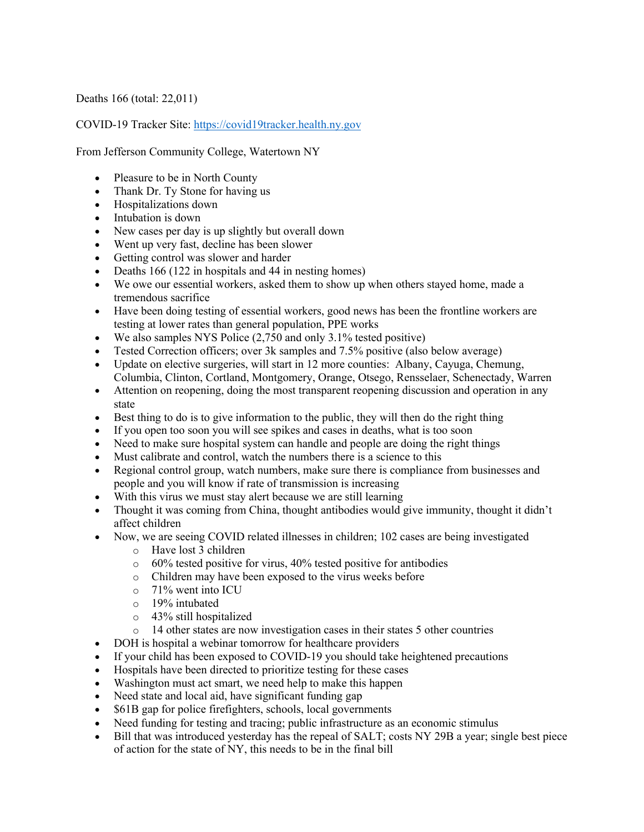Deaths 166 (total: 22,011)

COVID-19 Tracker Site: https://covid19tracker.health.ny.gov

From Jefferson Community College, Watertown NY

- Pleasure to be in North County
- Thank Dr. Ty Stone for having us
- Hospitalizations down
- Intubation is down
- New cases per day is up slightly but overall down
- Went up very fast, decline has been slower
- Getting control was slower and harder
- Deaths 166 (122 in hospitals and 44 in nesting homes)
- We owe our essential workers, asked them to show up when others stayed home, made a tremendous sacrifice
- Have been doing testing of essential workers, good news has been the frontline workers are testing at lower rates than general population, PPE works
- We also samples NYS Police  $(2,750$  and only  $3.1\%$  tested positive)
- Tested Correction officers; over 3k samples and 7.5% positive (also below average)
- Update on elective surgeries, will start in 12 more counties: Albany, Cayuga, Chemung, Columbia, Clinton, Cortland, Montgomery, Orange, Otsego, Rensselaer, Schenectady, Warren
- Attention on reopening, doing the most transparent reopening discussion and operation in any state
- Best thing to do is to give information to the public, they will then do the right thing
- If you open too soon you will see spikes and cases in deaths, what is too soon
- Need to make sure hospital system can handle and people are doing the right things
- Must calibrate and control, watch the numbers there is a science to this
- Regional control group, watch numbers, make sure there is compliance from businesses and people and you will know if rate of transmission is increasing
- With this virus we must stay alert because we are still learning
- Thought it was coming from China, thought antibodies would give immunity, thought it didn't affect children
- Now, we are seeing COVID related illnesses in children; 102 cases are being investigated
	- o Have lost 3 children
	- o 60% tested positive for virus, 40% tested positive for antibodies
	- o Children may have been exposed to the virus weeks before
	- o 71% went into ICU
	- o 19% intubated
	- o 43% still hospitalized
	- o 14 other states are now investigation cases in their states 5 other countries
- DOH is hospital a webinar tomorrow for healthcare providers
- If your child has been exposed to COVID-19 you should take heightened precautions
- Hospitals have been directed to prioritize testing for these cases
- Washington must act smart, we need help to make this happen
- Need state and local aid, have significant funding gap
- \$61B gap for police firefighters, schools, local governments
- Need funding for testing and tracing; public infrastructure as an economic stimulus
- Bill that was introduced yesterday has the repeal of SALT; costs NY 29B a year; single best piece of action for the state of NY, this needs to be in the final bill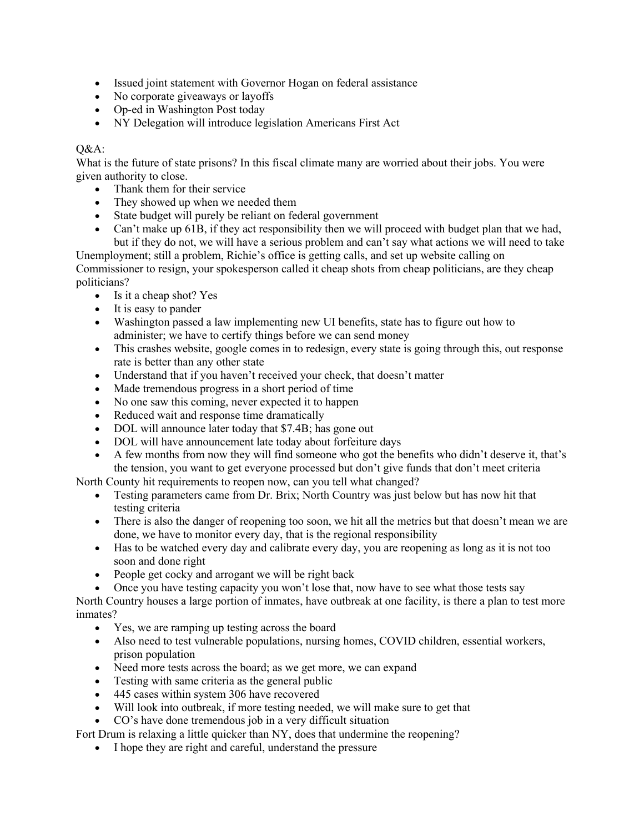- Issued joint statement with Governor Hogan on federal assistance
- No corporate giveaways or layoffs
- Op-ed in Washington Post today
- NY Delegation will introduce legislation Americans First Act

## $O&A$ :

What is the future of state prisons? In this fiscal climate many are worried about their jobs. You were given authority to close.

- Thank them for their service
- They showed up when we needed them
- State budget will purely be reliant on federal government
- Can't make up 61B, if they act responsibility then we will proceed with budget plan that we had, but if they do not, we will have a serious problem and can't say what actions we will need to take

Unemployment; still a problem, Richie's office is getting calls, and set up website calling on Commissioner to resign, your spokesperson called it cheap shots from cheap politicians, are they cheap politicians?

- Is it a cheap shot? Yes
- It is easy to pander
- Washington passed a law implementing new UI benefits, state has to figure out how to administer; we have to certify things before we can send money
- This crashes website, google comes in to redesign, every state is going through this, out response rate is better than any other state
- Understand that if you haven't received your check, that doesn't matter
- Made tremendous progress in a short period of time
- No one saw this coming, never expected it to happen
- Reduced wait and response time dramatically
- DOL will announce later today that \$7.4B; has gone out
- DOL will have announcement late today about forfeiture days
- A few months from now they will find someone who got the benefits who didn't deserve it, that's the tension, you want to get everyone processed but don't give funds that don't meet criteria
- North County hit requirements to reopen now, can you tell what changed?
	- Testing parameters came from Dr. Brix; North Country was just below but has now hit that testing criteria
	- There is also the danger of reopening too soon, we hit all the metrics but that doesn't mean we are done, we have to monitor every day, that is the regional responsibility
	- Has to be watched every day and calibrate every day, you are reopening as long as it is not too soon and done right
	- People get cocky and arrogant we will be right back
		- Once you have testing capacity you won't lose that, now have to see what those tests say

North Country houses a large portion of inmates, have outbreak at one facility, is there a plan to test more inmates?

- Yes, we are ramping up testing across the board
- Also need to test vulnerable populations, nursing homes, COVID children, essential workers, prison population
- Need more tests across the board; as we get more, we can expand
- Testing with same criteria as the general public
- 445 cases within system 306 have recovered
- Will look into outbreak, if more testing needed, we will make sure to get that
- CO's have done tremendous job in a very difficult situation

Fort Drum is relaxing a little quicker than NY, does that undermine the reopening?

• I hope they are right and careful, understand the pressure